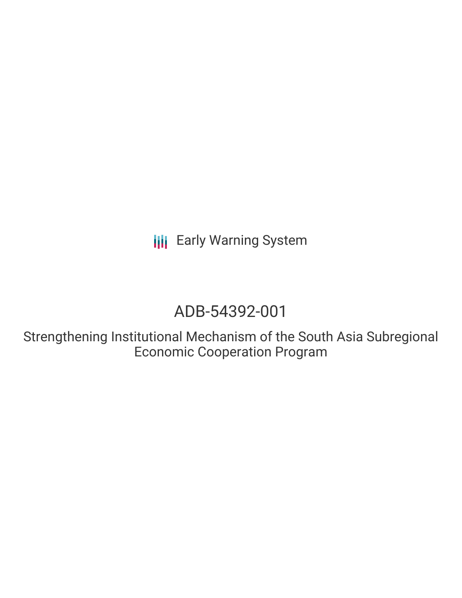**III** Early Warning System

# ADB-54392-001

Strengthening Institutional Mechanism of the South Asia Subregional Economic Cooperation Program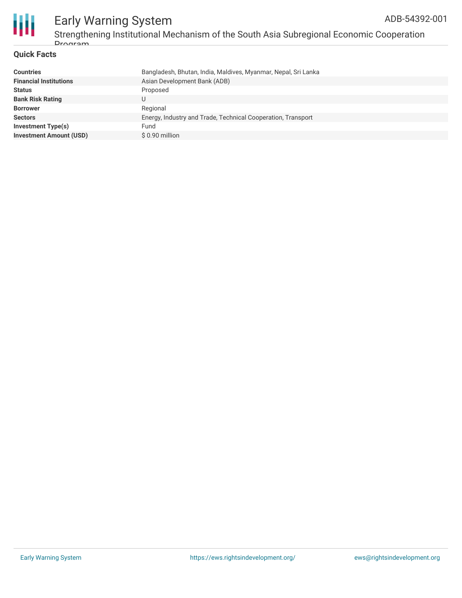

### Early Warning System Strengthening Institutional Mechanism of the South Asia Subregional Economic Cooperation **Drogram**

### **Quick Facts**

| Bangladesh, Bhutan, India, Maldives, Myanmar, Nepal, Sri Lanka |
|----------------------------------------------------------------|
| Asian Development Bank (ADB)                                   |
| Proposed                                                       |
|                                                                |
| Regional                                                       |
| Energy, Industry and Trade, Technical Cooperation, Transport   |
| Fund                                                           |
| $$0.90$ million                                                |
|                                                                |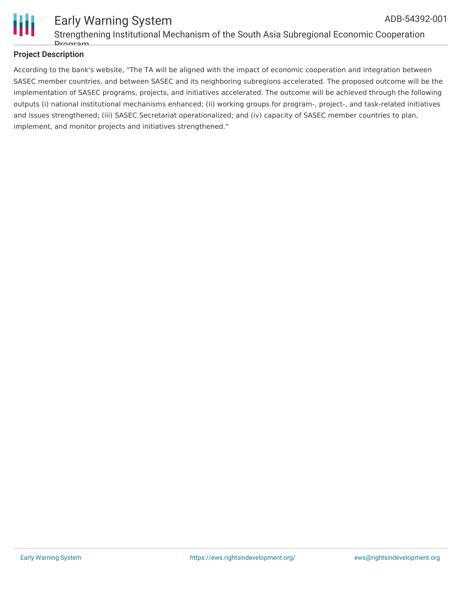

#### Early Warning System Strengthening Institutional Mechanism of the South Asia Subregional Economic Cooperation **Drogram** ADB-54392-001

### **Project Description**

According to the bank's website, "The TA will be aligned with the impact of economic cooperation and integration between SASEC member countries, and between SASEC and its neighboring subregions accelerated. The proposed outcome will be the implementation of SASEC programs, projects, and initiatives accelerated. The outcome will be achieved through the following outputs (i) national institutional mechanisms enhanced; (ii) working groups for program-, project-, and task-related initiatives and issues strengthened; (iii) SASEC Secretariat operationalized; and (iv) capacity of SASEC member countries to plan, implement, and monitor projects and initiatives strengthened."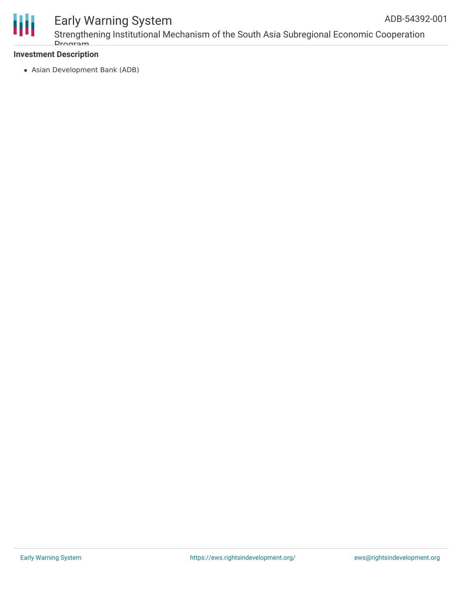

# Early Warning System

Strengthening Institutional Mechanism of the South Asia Subregional Economic Cooperation Drogram

### **Investment Description**

Asian Development Bank (ADB)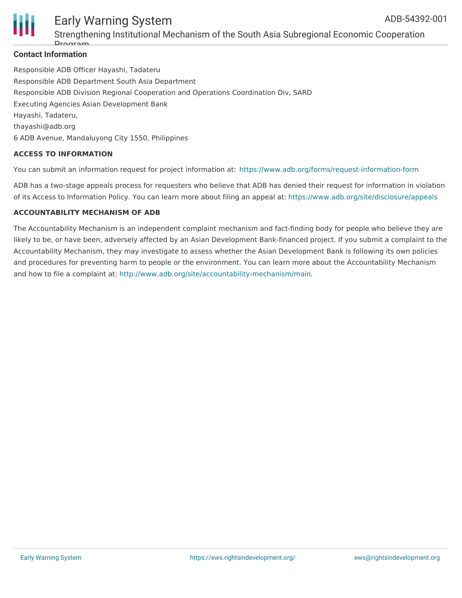



### Early Warning System Strengthening Institutional Mechanism of the South Asia Subregional Economic Cooperation

### **Contact Information** Drogram

Responsible ADB Officer Hayashi, Tadateru Responsible ADB Department South Asia Department Responsible ADB Division Regional Cooperation and Operations Coordination Div, SARD Executing Agencies Asian Development Bank Hayashi, Tadateru, thayashi@adb.org 6 ADB Avenue, Mandaluyong City 1550, Philippines

### **ACCESS TO INFORMATION**

You can submit an information request for project information at: <https://www.adb.org/forms/request-information-form>

ADB has a two-stage appeals process for requesters who believe that ADB has denied their request for information in violation of its Access to Information Policy. You can learn more about filing an appeal at: <https://www.adb.org/site/disclosure/appeals>

### **ACCOUNTABILITY MECHANISM OF ADB**

The Accountability Mechanism is an independent complaint mechanism and fact-finding body for people who believe they are likely to be, or have been, adversely affected by an Asian Development Bank-financed project. If you submit a complaint to the Accountability Mechanism, they may investigate to assess whether the Asian Development Bank is following its own policies and procedures for preventing harm to people or the environment. You can learn more about the Accountability Mechanism and how to file a complaint at: <http://www.adb.org/site/accountability-mechanism/main>.